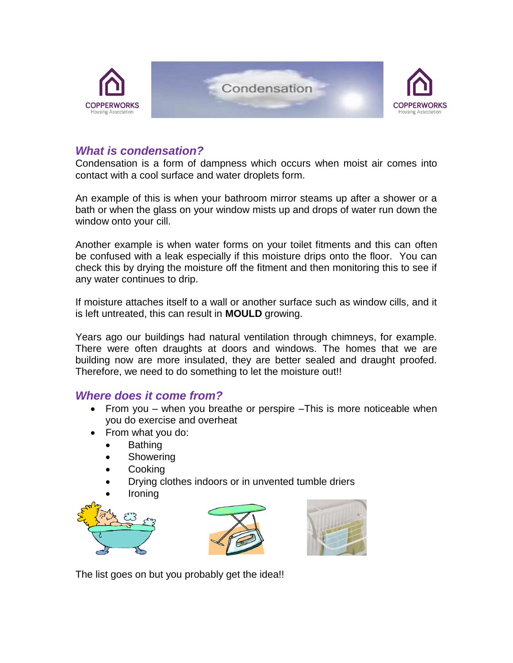

## *What is condensation?*

Condensation is a form of dampness which occurs when moist air comes into contact with a cool surface and water droplets form.

An example of this is when your bathroom mirror steams up after a shower or a bath or when the glass on your window mists up and drops of water run down the window onto your cill.

Another example is when water forms on your toilet fitments and this can often be confused with a leak especially if this moisture drips onto the floor. You can check this by drying the moisture off the fitment and then monitoring this to see if any water continues to drip.

If moisture attaches itself to a wall or another surface such as window cills, and it is left untreated, this can result in **MOULD** growing.

Years ago our buildings had natural ventilation through chimneys, for example. There were often draughts at doors and windows. The homes that we are building now are more insulated, they are better sealed and draught proofed. Therefore, we need to do something to let the moisture out!!

### *Where does it come from?*

- From you when you breathe or perspire –This is more noticeable when you do exercise and overheat
- From what you do:
	- Bathing
	- Showering
	- **Cooking**
	- Drying clothes indoors or in unvented tumble driers
	- Ironing







The list goes on but you probably get the idea!!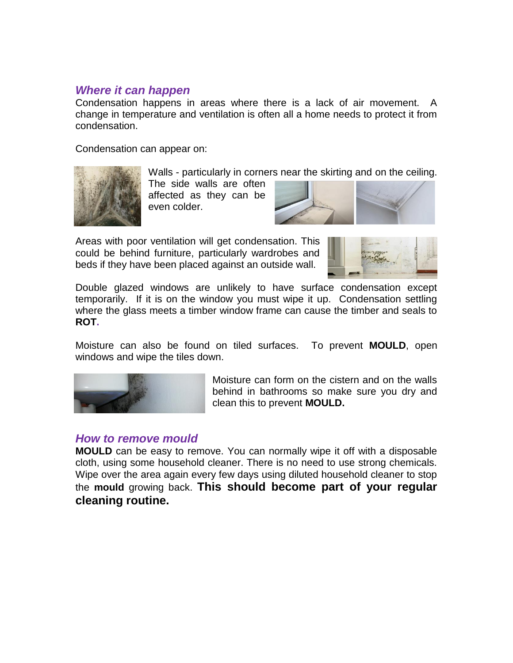## *Where it can happen*

Condensation happens in areas where there is a lack of air movement. A change in temperature and ventilation is often all a home needs to protect it from condensation.

Condensation can appear on:



Walls - particularly in corners near the skirting and on the ceiling. The side walls are often affected as they can be even colder.



Areas with poor ventilation will get condensation. This could be behind furniture, particularly wardrobes and beds if they have been placed against an outside wall.



Double glazed windows are unlikely to have surface condensation except temporarily. If it is on the window you must wipe it up. Condensation settling where the glass meets a timber window frame can cause the timber and seals to **ROT.**

Moisture can also be found on tiled surfaces. To prevent **MOULD**, open windows and wipe the tiles down.



Moisture can form on the cistern and on the walls behind in bathrooms so make sure you dry and clean this to prevent **MOULD.**

## *How to remove mould*

**MOULD** can be easy to remove. You can normally wipe it off with a disposable cloth, using some household cleaner. There is no need to use strong chemicals. Wipe over the area again every few days using diluted household cleaner to stop the **mould** growing back. **This should become part of your regular cleaning routine.**